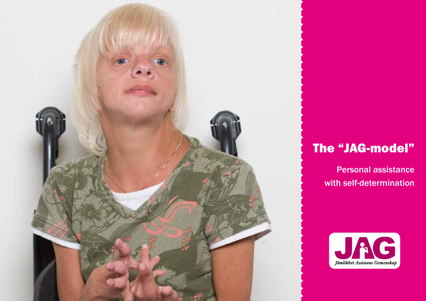

## The "JAG-model"

Personal assistance with self-determination

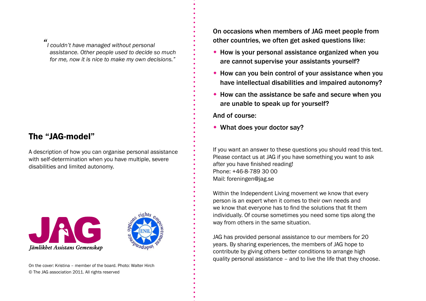*" I couldn't have managed without personal assistance. Other people used to decide so much for me, now it is nice to make my own decisions."*

### The "JAG-model"

A description of how you can organise personal assistance with self-determination when you have multiple, severe disabilities and limited autonomy.





On occasions when members of JAG meet people from other countries, we often get asked questions like:

- $\bullet$  How is your personal assistance organized when you are cannot supervise your assistants yourself?
- $\bullet$  How can you bein control of your assistance when you have intellectual disabilities and impaired autonomy?
- $\bullet$  How can the assistance be safe and secure when you are unable to speak up for yourself?

And of course:

 $\bullet$  What does your doctor say?

If you want an answer to these questions you should read this text. Please contact us at JAG if you have something you want to ask after you have finished reading! Phone: +46-8-789 30 00 Mail: foreningen@jag.se

Within the Independent Living movement we know that every person is an expert when it comes to their own needs and we know that everyone has to find the solutions that fit them individually. Of course sometimes you need some tips along the way from others in the same situation.

JAG has provided personal assistance to our members for 20 years. By sharing experiences, the members of JAG hope to contribute by giving others better conditions to arrange high quality personal assistance – and to live the life that they choose.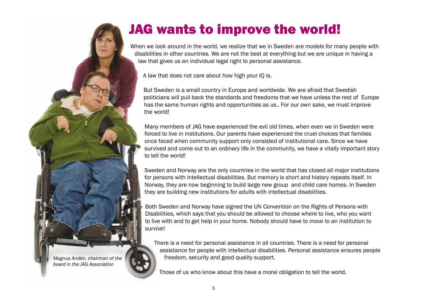

# JAG wants to improve the world!

When we look around in the world, we realize that we in Sweden are models for many people with disabilities in other countries. We are not the best at everything but we are unique in having a law that gives us an individual legal right to personal assistance.

A law that does not care about how high your IQ is.

But Sweden is a small country in Europe and worldwide. We are afraid that Swedish politicians will pull back the standards and freedoms that we have unless the rest of Europe has the same human rights and opportunities as us.. For our own sake, we must improve the world!

Many members of JAG have experienced the evil old times, when even we in Sweden were forced to live in institutions. Our parents have experienced the cruel choices that families once faced when community support only consisted of institutional care. Since we have survived and come out to an ordinary life in the community, we have a vitally important story to tell the world!

Sweden and Norway are the only countries in the world that has closed all major institutions for persons with intellectual disabilities. But memory is short and history repeats itself. In Norway, they are now beginning to build large new group and child care homes. In Sweden they are building new institutions for adults with intellectual disabilities.

Both Sweden and Norway have signed the UN Convention on the Rights of Persons with Disabilities, which says that you should be allowed to choose where to live, who you want to live with and to get help in your home. Nobody should have to move to an institution to survive!

There is a need for personal assistance in all countries. There is a need for personal assistance for people with intellectual disabilities. Personal assistance ensures people freedom, security and good quality support.

Those of us who know about this have a moral obligation to tell the world.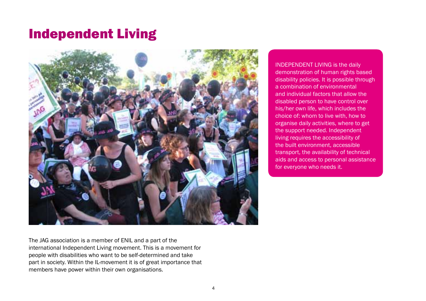## Independent Living



The JAG association is a member of ENIL and a part of the international Independent Living movement. This is a movement for people with disabilities who want to be self-determined and take part in society. Within the IL-movement it is of great importance that members have power within their own organisations.

INDEPENDENT LIVING is the daily demonstration of human rights based disability policies. It is possible through a combination of environmental and individual factors that allow the disabled person to have control over his/her own life, which includes the choice of: whom to live with, how to organise daily activities, where to get the support needed. Independent living requires the accessibility of the built environment, accessible transport, the availability of technical aids and access to personal assistance for everyone who needs it.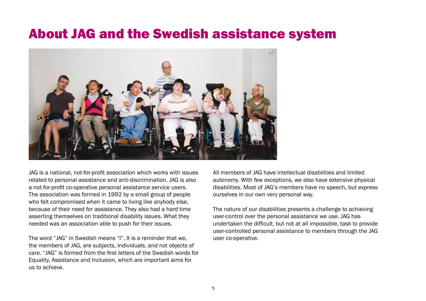## About JAG and the Swedish assistance system



JAG is a national, not-for-profit association which works with issues related to personal assistance and anti-discrimination. JAG is also a not-for-profit co-operative personal assistance service users. The association was formed in 1992 by a small group of people who felt compromised when it came to living like anybody else, because of their need for assistance. They also had a hard time asserting themselves on traditional disability issues. What they needed was an association able to push for their issues.

The word "JAG" in Swedish means "I". It is a reminder that we, the members of JAG, are subjects, individuals, and not objects of care. "JAG" is formed from the first letters of the Swedish words for Equality, Assistance and Inclusion, which are important aims for us to achieve.

All members of JAG have intellectual disabilities and limited autonomy. With few exceptions, we also have extensive physical disabilities. Most of JAG's members have no speech, but express ourselves in our own very personal way.

The nature of our disabilities presents a challenge to achieving user-control over the personal assistance we use. JAG has undertaken the difficult, but not at all impossible, task to provide user-controlled personal assistance to members through the JAG user co-operative.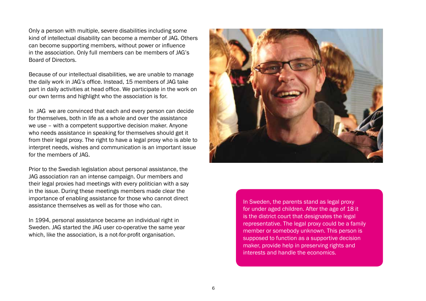Only a person with multiple, severe disabilities including some kind of intellectual disability can become a member of JAG. Others can become supporting members, without power or influence in the association. Only full members can be members of JAG's Board of Directors.

Because of our intellectual disabilities, we are unable to manage the daily work in JAG's office. Instead, 15 members of JAG take part in daily activities at head office. We participate in the work on our own terms and highlight who the association is for.

In JAG we are convinced that each and every person can decide for themselves, both in life as a whole and over the assistance we use – with a competent supportive decision maker. Anyone who needs assistance in speaking for themselves should get it from their legal proxy. The right to have a legal proxy who is able to interpret needs, wishes and communication is an important issue for the members of JAG.

Prior to the Swedish legislation about personal assistance, the JAG association ran an intense campaign. Our members and their legal proxies had meetings with every politician with a say in the issue. During these meetings members made clear the importance of enabling assistance for those who cannot direct assistance themselves as well as for those who can.

In 1994, personal assistance became an individual right in Sweden. JAG started the JAG user co-operative the same year which, like the association, is a not-for-profit organisation.



In Sweden, the parents stand as legal proxy for under aged children. After the age of 18 it is the district court that designates the legal representative. The legal proxy could be a family member or somebody unknown. This person is supposed to function as a supportive decision maker, provide help in preserving rights and interests and handle the economics.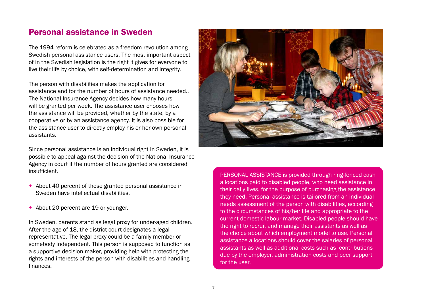### Personal assistance in Sweden

The 1994 reform is celebrated as a freedom revolution among Swedish personal assistance users. The most important aspect of in the Swedish legislation is the right it gives for everyone to live their life by choice, with self-determination and integrity.

The person with disabilities makes the application for assistance and for the number of hours of assistance needed.. The National Insurance Agency decides how many hours will be granted per week. The assistance user chooses how the assistance will be provided, whether by the state, by a cooperative or by an assistance agency. It is also possible for the assistance user to directly employ his or her own personal assistants.

Since personal assistance is an individual right in Sweden, it is possible to appeal against the decision of the National Insurance Agency in court if the number of hours granted are considered insufficient.

- $\bullet$  About 40 percent of those granted personal assistance in Sweden have intellectual disabilities.
- About 20 percent are 19 or younger.

In Sweden, parents stand as legal proxy for under-aged children. After the age of 18, the district court designates a legal representative. The legal proxy could be a family member or somebody independent. This person is supposed to function as a supportive decision maker, providing help with protecting the rights and interests of the person with disabilities and handling finances.



PERSONAL ASSISTANCE is provided through ring-fenced cash allocations paid to disabled people, who need assistance in their daily lives, for the purpose of purchasing the assistance they need. Personal assistance is tailored from an individual needs assessment of the person with disabilities, according to the circumstances of his/her life and appropriate to the current domestic labour market. Disabled people should have the right to recruit and manage their assistants as well as the choice about which employment model to use. Personal assistance allocations should cover the salaries of personal assistants as well as additional costs such as contributions due by the employer, administration costs and peer support for the user.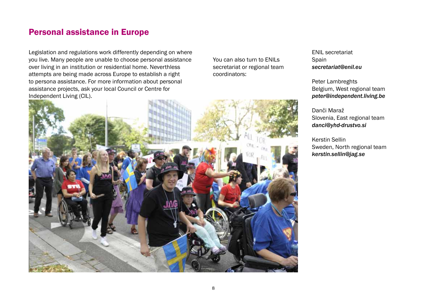### Personal assistance in Europe

Legislation and regulations work differently depending on where you live. Many people are unable to choose personal assistance over living in an institution or residential home. Neverthless attempts are being made across Europe to establish a right to persona assistance. For more information about personal assistance projects, ask your local Council or Centre for Independent Living (CIL).

You can also turn to ENILs secretariat or regional team coordinators:



ENIL secretariat Spain *secretariat@enil.eu* 

Peter Lambreghts Belgium, West regional team *peter@independent.living.be* 

Danči Maraž Slovenia, East regional team *danci@yhd-drustvo.si* 

Kerstin Sellin Sweden, North regional team *kerstin.sellin@jag.se*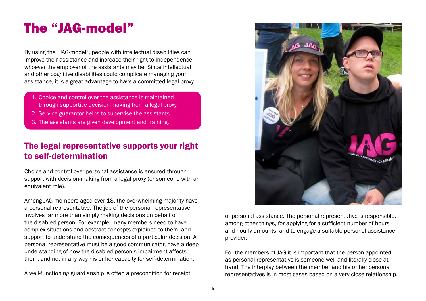## The "JAG-model"

By using the "JAG-model", people with intellectual disabilities can improve their assistance and increase their right to independence, whoever the employer of the assistants may be. Since intellectual and other cognitive disabilities could complicate managing your assistance, it is a great advantage to have a committed legal proxy.

- 1. Choice and control over the assistance is maintained through supportive decision-making from a legal proxy.
- 2. Service guarantor helps to supervise the assistants.
- 3. The assistants are given development and training.

## The legal representative supports your right to self-determination

Choice and control over personal assistance is ensured through support with decision-making from a legal proxy (or someone with an equivalent role).

Among JAG members aged over 18, the overwhelming majority have a personal representative. The job of the personal representative involves far more than simply making decisions on behalf of the disabled person. For example, many members need to have complex situations and abstract concepts explained to them, and support to understand the consequences of a particular decision. A personal representative must be a good communicator, have a deep understanding of how the disabled person's impairment affects them, and not in any way his or her capacity for self-determination.

A well-functioning guardianship is often a precondition for receipt



of personal assistance. The personal representative is responsible, among other things, for applying for a sufficient number of hours and hourly amounts, and to engage a suitable personal assistance provider.

For the members of JAG it is important that the person appointed as personal representative is someone well and literally close at hand. The interplay between the member and his or her personal representatives is in most cases based on a very close relationship.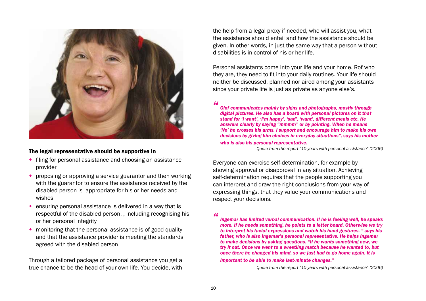

#### The legal representative should be supportive in

- $\bullet$  filing for personal assistance and choosing an assistance provider
- $\bullet$  proposing or approving a service guarantor and then working with the guarantor to ensure the assistance received by the disabled person is appropriate for his or her needs and wishes
- $\bullet$  ensuring personal assistance is delivered in a way that is respectful of the disabled person, , including recognising his or her personal integrity
- $\bullet$  monitoring that the personal assistance is of good quality and that the assistance provider is meeting the standards agreed with the disabled person

Through a tailored package of personal assistance you get a true chance to be the head of your own life. You decide, with the help from a legal proxy if needed, who will assist you, what the assistance should entail and how the assistance should be given. In other words, in just the same way that a person without disabilities is in control of his or her life.

Personal assistants come into your life and your home. Rof who they are, they need to fit into your daily routines. Your life should neither be discussed, planned nor aired among your assistants since your private life is just as private as anyone else's.

*"*

*Olof communicates mainly by signs and photographs, mostly through digital pictures. He also has a board with personal pictures on it that stand for 'I want', 'I'm happy', 'sad', 'want', different meals etc. He answers clearly by saying "mmmm" or by pointing. When he means 'No' he crosses his arms. I support and encourage him to make his own decisions by giving him choices in everyday situations", says his mother* 

#### *who is also his personal representative.*

*Quote from the report "10 years with personal assistance" (2006)*

Everyone can exercise self-determination, for example by showing approval or disapproval in any situation. Achieving self-determination requires that the people supporting you can interpret and draw the right conclusions from your way of expressing things, that they value your communications and respect your decisions.

## *"*

*Ingemar has limited verbal communication. If he is feeling well, he speaks more. If he needs something, he points to a letter board. Otherwise we try to interpret his facial expressions and watch his hand gestures, " says his father, who is also Ingemar's personal representative. He helps Ingemar to make decisions by asking questions. "If he wants something new, we try it out. Once we went to a wrestling match because he wanted to, but once there he changed his mind, so we just had to go home again. It is important to be able to make last-minute changes."*

*Quote from the report "10 years with personal assistance" (2006)*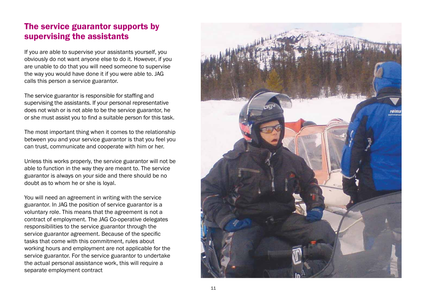### The service guarantor supports by supervising the assistants

If you are able to supervise your assistants yourself, you obviously do not want anyone else to do it. However, if you are unable to do that you will need someone to supervise the way you would have done it if you were able to. JAG calls this person a service guarantor.

The service guarantor is responsible for staffing and supervising the assistants. If your personal representative does not wish or is not able to be the service guarantor, he or she must assist you to find a suitable person for this task.

The most important thing when it comes to the relationship between you and your service guarantor is that you feel you can trust, communicate and cooperate with him or her.

Unless this works properly, the service guarantor will not be able to function in the way they are meant to. The service guarantor is always on your side and there should be no doubt as to whom he or she is loyal.

You will need an agreement in writing with the service guarantor. In JAG the position of service guarantor is a voluntary role. This means that the agreement is not a contract of employment. The JAG Co-operative delegates responsibilities to the service guarantor through the service guarantor agreement. Because of the specific tasks that come with this commitment, rules about working hours and employment are not applicable for the service guarantor. For the service guarantor to undertake the actual personal assistance work, this will require a separate employment contract

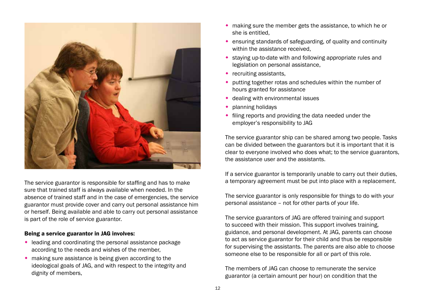

The service guarantor is responsible for staffing and has to make sure that trained staff is always available when needed. In the absence of trained staff and in the case of emergencies, the service guarantor must provide cover and carry out personal assistance him or herself. Being available and able to carry out personal assistance is part of the role of service guarantor.

#### Being a service guarantor in JAG involves:

- $\bullet$  leading and coordinating the personal assistance package according to the needs and wishes of the member,
- $\bullet$  making sure assistance is being given according to the ideological goals of JAG, and with respect to the integrity and dignity of members,
- $\bullet$  making sure the member gets the assistance, to which he or she is entitled,
- $\bullet$  ensuring standards of safeguarding, of quality and continuity within the assistance received,
- $\bullet$  staying up-to-date with and following appropriate rules and legislation on personal assistance,
- $\cdot$  recruiting assistants,
- $\bullet$  putting together rotas and schedules within the number of hours granted for assistance
- $\bullet$  dealing with environmental issues
- planning holidays
- filing reports and providing the data needed under the employer's responsibility to JAG

The service guarantor ship can be shared among two people. Tasks can be divided between the guarantors but it is important that it is clear to everyone involved who does what; to the service guarantors, the assistance user and the assistants.

If a service guarantor is temporarily unable to carry out their duties, a temporary agreement must be put into place with a replacement.

The service guarantor is only responsible for things to do with your personal assistance – not for other parts of your life.

The service guarantors of JAG are offered training and support to succeed with their mission. This support involves training, guidance, and personal development. At JAG, parents can choose to act as service guarantor for their child and thus be responsible for supervising the assistants. The parents are also able to choose someone else to be responsible for all or part of this role.

The members of JAG can choose to remunerate the service guarantor (a certain amount per hour) on condition that the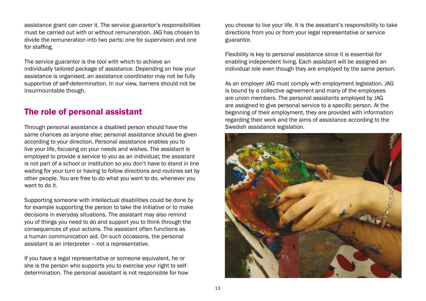assistance grant can cover it. The service guarantor's responsibilities must be carried out with or without remuneration. JAG has chosen to divide the remuneration into two parts: one for supervision and one for staffing.

The service guarantor is the tool with which to achieve an individually tailored package of assistance. Depending on how your assistance is organised, an assistance coordinator may not be fully supportive of self-determination. In our view, barriers should not be insurmountable though.

### The role of personal assistant

Through personal assistance a disabled person should have the same chances as anyone else; personal assistance should be given according to your direction. Personal assistance enables you to live your life, focusing on your needs and wishes. The assistant is employed to provide a service to you as an individual; the assistant is not part of a school or institution so you don't have to stand in line waiting for your turn or having to follow directions and routines set by other people. You are free to do what you want to do, whenever you want to do it.

Supporting someone with intellectual disabilities could be done by for example supporting the person to take the initiative or to make decisions in everyday situations. The assistant may also remind you of things you need to do and support you to think through the consequences of your actions. The assistant often functions as a human communication aid. On such occasions, the personal assistant is an interpreter – not a representative.

If you have a legal representative or someone equivalent, he or she is the person who supports you to exercise your right to selfdetermination. The personal assistant is not responsible for how you choose to live your life. It is the assistant's responsibility to take directions from you or from your legal representative or service guarantor.

Flexibility is key to personal assistance since it is essential for enabling independent living. Each assistant will be assigned an individual role even though they are employed by the same person.

As an employer JAG must comply with employment legislation. JAG is bound by a collective agreement and many of the employees are union members. The personal assistants employed by JAG are assigned to give personal service to a specific person. At the beginning of their employment, they are provided with information regarding their work and the aims of assistance according to the Swedish assistance legislation.

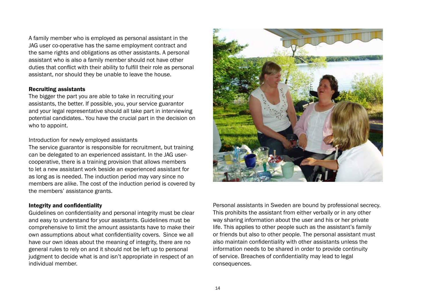A family member who is employed as personal assistant in the JAG user co-operative has the same employment contract and the same rights and obligations as other assistants. A personal assistant who is also a family member should not have other duties that conflict with their ability to fulfill their role as personal assistant, nor should they be unable to leave the house.

#### Recruiting assistants

The bigger the part you are able to take in recruiting your assistants, the better. If possible, you, your service guarantor and your legal representative should all take part in interviewing potential candidates.. You have the crucial part in the decision on who to appoint.

#### Introduction for newly employed assistants

The service guarantor is responsible for recruitment, but training can be delegated to an experienced assistant. In the JAG usercooperative, there is a training provision that allows members to let a new assistant work beside an experienced assistant for as long as is needed. The induction period may vary since no members are alike. The cost of the induction period is covered by the members' assistance grants.

### Integrity and confidentiality

Guidelines on confidentiality and personal integrity must be clear and easy to understand for your assistants. Guidelines must be comprehensive to limit the amount assistants have to make their own assumptions about what confidentiality covers. Since we all have our own ideas about the meaning of integrity, there are no general rules to rely on and it should not be left up to personal judgment to decide what is and isn't appropriate in respect of an individual member.



Personal assistants in Sweden are bound by professional secrecy. This prohibits the assistant from either verbally or in any other way sharing information about the user and his or her private life. This applies to other people such as the assistant's family or friends but also to other people. The personal assistant must also maintain confidentiality with other assistants unless the information needs to be shared in order to provide continuity of service. Breaches of confidentiality may lead to legal consequences.